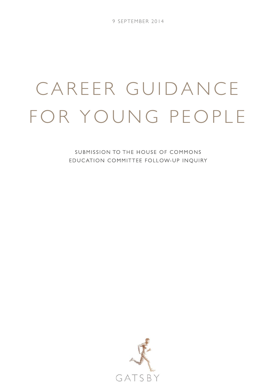# CAREER GUIDANCE FOR YOUNG PEOPLE

SUBMISSION TO THE HOUSE OF COMMONS EDUC ATION COMMITTEE FOLLOW-UP INQUIRY

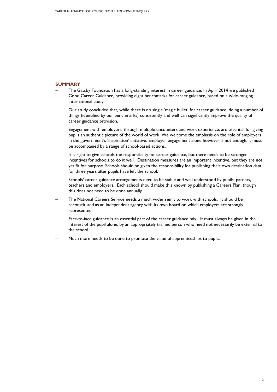### **SUMMARY**

- The Gatsby Foundation has a long-standing interest in career guidance. In April 2014 we published Good Career Guidance, providing eight benchmarks for career guidance, based on a wide-ranging international study.
- − Our study concluded that, while there is no single 'magic bullet' for career guidance, doing a number of things (identified by our benchmarks) consistently and well can significantly improve the quality of career guidance provision.
- Engagement with employers, through multiple encounters and work experience, are essential for giving pupils an authentic picture of the world of work. We welcome the emphasis on the role of employers in the government's 'inspiration' initiative. Employer engagement alone however is not enough: it must be accompanied by a range of school-based actions.
- It is right to give schools the responsibility for career guidance, but there needs to be stronger incentives for schools to do it well. Destination measures are an important incentive, but they are not yet fit for purpose. Schools should be given the responsibility for publishing their own destination data for three years after pupils have left the school.
- Schools' career guidance arrangements need to be stable and well understood by pupils, parents, teachers and employers. Each school should make this known by publishing a Careers Plan, though this does not need to be done annually.
- The National Careers Service needs a much wider remit to work with schools. It should be reconstituted as an independent agency with its own board on which employers are strongly represented.
- Face-to-face guidance is an essential part of the career guidance mix. It must always be given in the interest of the pupil alone, by an appropriately trained person who need not necessarily be external to the school.
- Huch more needs to be done to promote the value of apprenticeships to pupils.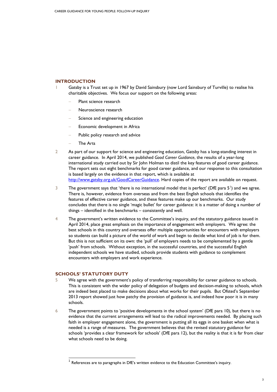# **INTRODUCTION**

- Gatsby is a Trust set up in 1967 by David Sainsbury (now Lord Sainsbury of Turville) to realise his charitable objectives. We focus our support on the following areas:
	- Plant science research
	- − Neuroscience research
	- Science and engineering education
	- Economic development in Africa
	- Public policy research and advice
	- − The Arts
- 2 As part of our support for science and engineering education, Gatsby has a long-standing interest in career guidance. In April 2014, we published *Good Career Guidance*, the results of a year-long international study carried out by Sir John Holman to distil the key features of good career guidance. The report sets out eight benchmarks for good career guidance, and our response to this consultation is based largely on the evidence in that report, which is available at [http://www.gatsby.org.uk/GoodCareerGuidance.](http://www.gatsby.org.uk/GoodCareerGuidance) Hard copies of the report are available on request.
- 3 The government says that 'there is no international model that is perfect' (DfE para  $5^{\prime}$ ) and we agree. There is, however, evidence from overseas and from the best English schools that identifies the features of effective career guidance, and these features make up our benchmarks. Our study concludes that there is no single 'magic bullet' for career guidance: it is a matter of doing a number of things – identified in the benchmarks – consistently and well.
- 4 The government's written evidence to the Committee's inquiry, and the statutory guidance issued in April 2014, place great emphasis on the importance of engagement with employers. We agree: the best schools in this country and overseas offer multiple opportunities for encounters with employers so students can build a picture of the world of work and begin to decide what kind of job is for them. But this is not sufficient on its own: the 'pull' of employers needs to be complemented by a gentle 'push' from schools. Without exception, in the successful countries, and the successful English independent schools we have studied, schools provide students with guidance to complement encounters with employers and work experience.

#### **SCHOOLS' STATUTORY DUTY**

 $\overline{a}$ 

- 5 We agree with the government's policy of transferring responsibility for career guidance to schools. This is consistent with the wider policy of delegation of budgets and decision-making to schools, which are indeed best placed to make decisions about what works for their pupils. But Ofsted's September 2013 report showed just how patchy the provision of guidance is, and indeed how poor it is in many schools.
- 6 The government points to 'positive developments in the school system' (DfE para 10), but there is no evidence that the current arrangements will lead to the radical improvements needed. By placing such faith in employer engagement alone, the government is putting all its eggs in one basket when what is needed is a range of measures. The government believes that the revised statutory guidance for schools 'provides a clear framework for schools' (DfE para 12), but the reality is that it is far from clear what schools need to be doing.

<span id="page-2-0"></span> $^{\rm 1}$  References are to paragraphs in DfE's written evidence to the Education Committee's inquiry.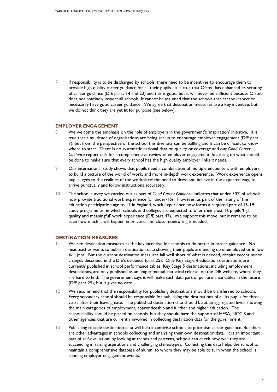7 If responsibility is to be discharged by schools, there need to be incentives to encourage them to provide high quality career guidance for all their pupils. It is true that Ofsted has enhanced its scrutiny of career guidance (DfE paras 14 and 23) and this is good, but it will never be sufficient because Ofsted does not routinely inspect all schools. It cannot be assumed that the schools that escape inspection necessarily have good career guidance. We agree that destination measures are a key incentive, but we do not think they are yet fit for purpose (see below).

### **EMPLOYER ENGAGEMENT**

- 8 We welcome the emphasis on the role of employers in the government's 'inspiration' initiative. It is true that a multitude of organisations are being set up to encourage employer engagement (DfE para 7), but from the perspective of the school this diversity can be baffling and it can be difficult to know where to start. There is no systematic national data on quality or coverage and our *Good Career Guidance* report calls for a comprehensive review of employer engagement, focussing on what should be done to make sure that every school has the high quality employer links it needs.
- 9 Our international study shows that pupils need a combination of multiple encounters with employers, to build a picture of the world of work, and more in-depth work experience. Work experience opens pupils' eyes to the realities of the workplace: the need to dress and behave in the expected way, to arrive punctually and follow instructions accurately.
- 10 The school survey we carried out as part of *Good Career Guidance* indicates that under 50% of schools now provide traditional work experience for under-16s. However, as part of the raising of the education participation age to 17 in England, work experience now forms a required part of 16-19 study programmes, in which schools and colleges are expected to offer their post-16 pupils 'high quality and meaningful' work experience (DfE para 47). We support this move, but it remains to be seen how much it will happen in practice, and close monitoring is needed.

## **DESTINATION MEASURES**

- 11 We see destination measures as the key incentive for schools to do better in career guidance. No headteacher wants to publish destination data showing their pupils are ending up unemployed or in low skill jobs. But the current destination measures fall well short of what is needed, despite recent minor changes described in the DfE's evidence (para 25). Only Key Stage 4 education destinations are currently published in school performance tables. Key Stage 5 destinations, including employment destinations, are only published as an 'experimental statistical release' on the DfE website, where they are hard to find. The government says it will make such data part of performance tables in the future (DfE para 25), but it gives no date.
- 12 We recommend that the responsibility for publishing destinations should be transferred to schools. Every secondary school should be responsible for publishing the destinations of all its pupils for three years after their leaving date. The published destination data should be at an aggregated level, showing the main categories of employment, apprenticeship and further and higher education. The responsibility should be placed on schools, but they should have the support of HESA, NCCIS and other agencies that are currently involved in collecting destination data for the government.
- 13 Publishing reliable destination data will help incentivise schools to prioritise career guidance. But there are other advantages in schools collecting and analysing their own destination data. It is an important part of self-evaluation: by looking at trends and patterns, schools can check how well they are succeeding in raising aspirations and challenging stereotypes. Collecting this data helps the school to maintain a comprehensive database of alumni to whom they may be able to turn when the school is running employer engagement events.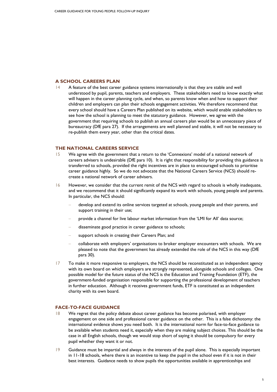# **A SCHOOL CAREERS PLAN**

 $14$  A feature of the best career guidance systems internationally is that they are stable and well understood by pupil, parents, teachers and employers. These stakeholders need to know exactly what will happen in the career planning cycle, and when, so parents know when and how to support their children and employers can plan their schools engagement activities. We therefore recommend that every school should have a Careers Plan published on its website, which would enable stakeholders to see how the school is planning to meet the statutory guidance. However, we agree with the government that requiring schools to publish an annual careers plan would be an unnecessary piece of bureaucracy (DfE para 27). If the arrangements are well planned and stable, it will not be necessary to re-publish them every year, other than the critical dates.

## **THE NATIONAL CAREERS SERVICE**

- 15 We agree with the government that a return to the 'Connexions' model of a national network of careers advisers is undesirable (DfE para 10). It is right that responsibility for providing this guidance is transferred to schools, provided the right incentives are in place to encouraged schools to prioritise career guidance highly. So we do not advocate that the National Careers Service (NCS) should recreate a national network of career advisers.
- 16 However, we consider that the current remit of the NCS with regard to schools is wholly inadequate, and we recommend that it should significantly expand its work with schools, young people and parents. In particular, the NCS should:
	- develop and extend its online services targeted at schools, young people and their parents, and support training in their use;
	- − provide a channel for live labour market information from the 'LMI for All' data source;
	- − disseminate good practice in career guidance to schools;
	- support schools in creating their Careers Plan; and
	- − collaborate with employers' organisations to broker employer encounters with schools. We are pleased to note that the government has already extended the role of the NCS in this way (DfE para 30).
- 17 To make it more responsive to employers, the NCS should be reconstituted as an independent agency with its own board on which employers are strongly represented, alongside schools and colleges. One possible model for the future status of the NCS is the Education and Training Foundation (ETF), the government-funded organisation responsible for supporting the professional development of teachers in further education. Although it receives government funds, ETF is constituted as an independent charity with its own board.

# **FACE-TO-FACE GUIDANCE**

- 18 We regret that the policy debate about career guidance has become polarised, with employer engagement on one side and professional career guidance on the other. This is a false dichotomy: the international evidence shows you need both. It is the international norm for face-to-face guidance to be available when students need it, especially when they are making subject choices. This should be the case in all English schools, though we would stop short of saying it should be compulsory for every pupil whether they want it or not.
- 19 Guidance must be impartial and always in the interests of the pupil alone. This is especially important in 11-18 schools, where there is an incentive to keep the pupil in the school even if it is not in their best interests. Guidance needs to show pupils the opportunities available in apprenticeships and